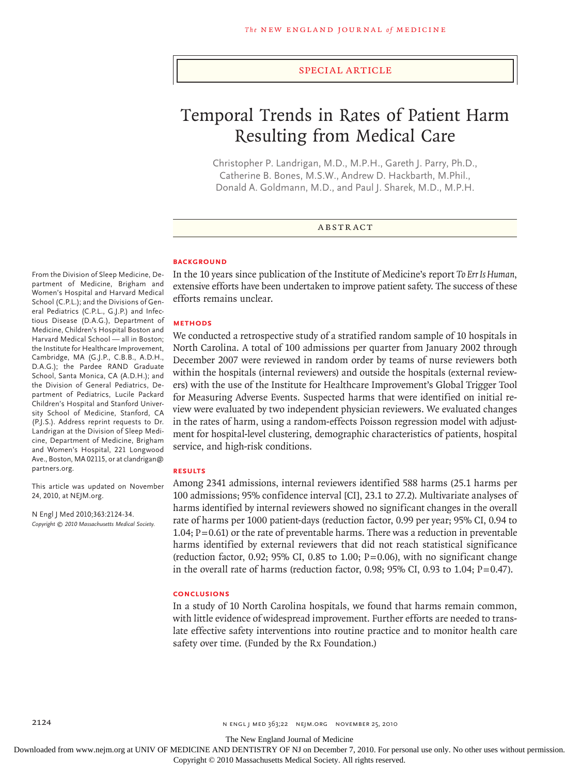#### special article

# Temporal Trends in Rates of Patient Harm Resulting from Medical Care

Christopher P. Landrigan, M.D., M.P.H., Gareth J. Parry, Ph.D., Catherine B. Bones, M.S.W., Andrew D. Hackbarth, M.Phil., Donald A. Goldmann, M.D., and Paul J. Sharek, M.D., M.P.H.

## **ABSTRACT**

#### **BACKGROUND**

From the Division of Sleep Medicine, Department of Medicine, Brigham and Women's Hospital and Harvard Medical School (C.P.L.); and the Divisions of General Pediatrics (C.P.L., G.J.P.) and Infectious Disease (D.A.G.), Department of Medicine, Children's Hospital Boston and Harvard Medical School — all in Boston; the Institute for Healthcare Improvement, Cambridge, MA (G.J.P., C.B.B., A.D.H., D.A.G.); the Pardee RAND Graduate School, Santa Monica, CA (A.D.H.); and the Division of General Pediatrics, Department of Pediatrics, Lucile Packard Children's Hospital and Stanford University School of Medicine, Stanford, CA (P.J.S.). Address reprint requests to Dr. Landrigan at the Division of Sleep Medicine, Department of Medicine, Brigham and Women's Hospital, 221 Longwood Ave., Boston, MA 02115, or at clandrigan@ partners.org.

This article was updated on November 24, 2010, at NEJM.org.

N Engl J Med 2010;363:2124-34. *Copyright © 2010 Massachusetts Medical Society.* In the 10 years since publication of the Institute of Medicine's report *To Err Is Human*, extensive efforts have been undertaken to improve patient safety. The success of these efforts remains unclear.

## **Methods**

We conducted a retrospective study of a stratified random sample of 10 hospitals in North Carolina. A total of 100 admissions per quarter from January 2002 through December 2007 were reviewed in random order by teams of nurse reviewers both within the hospitals (internal reviewers) and outside the hospitals (external reviewers) with the use of the Institute for Healthcare Improvement's Global Trigger Tool for Measuring Adverse Events. Suspected harms that were identified on initial review were evaluated by two independent physician reviewers. We evaluated changes in the rates of harm, using a random-effects Poisson regression model with adjustment for hospital-level clustering, demographic characteristics of patients, hospital service, and high-risk conditions.

#### **Results**

Among 2341 admissions, internal reviewers identified 588 harms (25.1 harms per 100 admissions; 95% confidence interval [CI], 23.1 to 27.2). Multivariate analyses of harms identified by internal reviewers showed no significant changes in the overall rate of harms per 1000 patient-days (reduction factor, 0.99 per year; 95% CI, 0.94 to 1.04;  $P = 0.61$ ) or the rate of preventable harms. There was a reduction in preventable harms identified by external reviewers that did not reach statistical significance (reduction factor, 0.92; 95% CI, 0.85 to 1.00;  $P=0.06$ ), with no significant change in the overall rate of harms (reduction factor, 0.98; 95% CI, 0.93 to 1.04;  $P=0.47$ ).

#### **Conclusions**

In a study of 10 North Carolina hospitals, we found that harms remain common, with little evidence of widespread improvement. Further efforts are needed to translate effective safety interventions into routine practice and to monitor health care safety over time. (Funded by the Rx Foundation.)

The New England Journal of Medicine

Downloaded from www.nejm.org at UNIV OF MEDICINE AND DENTISTRY OF NJ on December 7, 2010. For personal use only. No other uses without permission.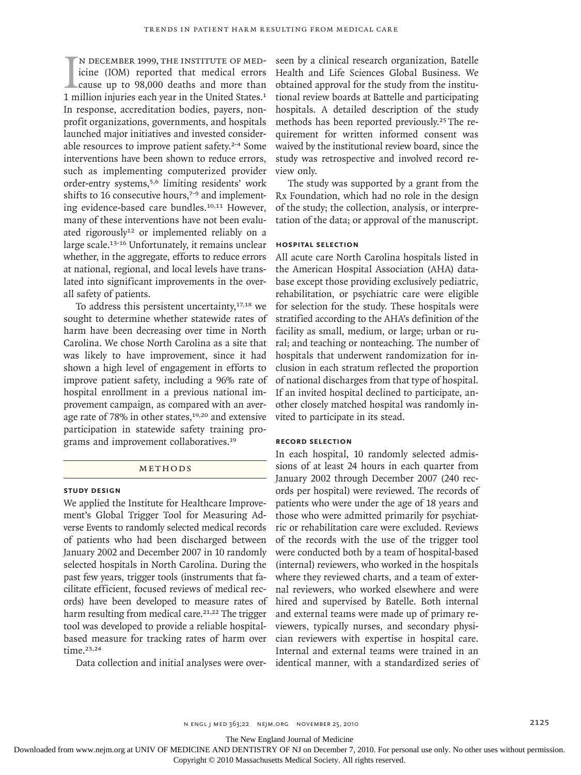$\prod_{1 \text{ m}}$ n December 1999, the Institute of Medicine (IOM) reported that medical errors cause up to 98,000 deaths and more than 1 million injuries each year in the United States.<sup>1</sup> In response, accreditation bodies, payers, nonprofit organizations, governments, and hospitals launched major initiatives and invested considerable resources to improve patient safety.2-4 Some interventions have been shown to reduce errors, such as implementing computerized provider order-entry systems,<sup>5,6</sup> limiting residents' work shifts to 16 consecutive hours,<sup>7-9</sup> and implementing evidence-based care bundles.10,11 However, many of these interventions have not been evaluated rigorously<sup>12</sup> or implemented reliably on a large scale.<sup>13-16</sup> Unfortunately, it remains unclear whether, in the aggregate, efforts to reduce errors at national, regional, and local levels have translated into significant improvements in the overall safety of patients.

To address this persistent uncertainty, $17,18$  we sought to determine whether statewide rates of harm have been decreasing over time in North Carolina. We chose North Carolina as a site that was likely to have improvement, since it had shown a high level of engagement in efforts to improve patient safety, including a 96% rate of hospital enrollment in a previous national improvement campaign, as compared with an average rate of 78% in other states,<sup>19,20</sup> and extensive participation in statewide safety training programs and improvement collaboratives.<sup>19</sup>

# METHODS

## **Study Design**

We applied the Institute for Healthcare Improvement's Global Trigger Tool for Measuring Adverse Events to randomly selected medical records of patients who had been discharged between January 2002 and December 2007 in 10 randomly selected hospitals in North Carolina. During the past few years, trigger tools (instruments that facilitate efficient, focused reviews of medical records) have been developed to measure rates of harm resulting from medical care.<sup>21,22</sup> The trigger tool was developed to provide a reliable hospitalbased measure for tracking rates of harm over time.23,24

Data collection and initial analyses were over-

seen by a clinical research organization, Batelle Health and Life Sciences Global Business. We obtained approval for the study from the institutional review boards at Battelle and participating hospitals. A detailed description of the study methods has been reported previously.25 The requirement for written informed consent was waived by the institutional review board, since the study was retrospective and involved record review only.

The study was supported by a grant from the Rx Foundation, which had no role in the design of the study; the collection, analysis, or interpretation of the data; or approval of the manuscript.

# **Hospital Selection**

All acute care North Carolina hospitals listed in the American Hospital Association (AHA) database except those providing exclusively pediatric, rehabilitation, or psychiatric care were eligible for selection for the study. These hospitals were stratified according to the AHA's definition of the facility as small, medium, or large; urban or rural; and teaching or nonteaching. The number of hospitals that underwent randomization for inclusion in each stratum reflected the proportion of national discharges from that type of hospital. If an invited hospital declined to participate, another closely matched hospital was randomly invited to participate in its stead.

#### **Record Selection**

In each hospital, 10 randomly selected admissions of at least 24 hours in each quarter from January 2002 through December 2007 (240 records per hospital) were reviewed. The records of patients who were under the age of 18 years and those who were admitted primarily for psychiatric or rehabilitation care were excluded. Reviews of the records with the use of the trigger tool were conducted both by a team of hospital-based (internal) reviewers, who worked in the hospitals where they reviewed charts, and a team of external reviewers, who worked elsewhere and were hired and supervised by Batelle. Both internal and external teams were made up of primary reviewers, typically nurses, and secondary physician reviewers with expertise in hospital care. Internal and external teams were trained in an identical manner, with a standardized series of

The New England Journal of Medicine

Downloaded from www.nejm.org at UNIV OF MEDICINE AND DENTISTRY OF NJ on December 7, 2010. For personal use only. No other uses without permission.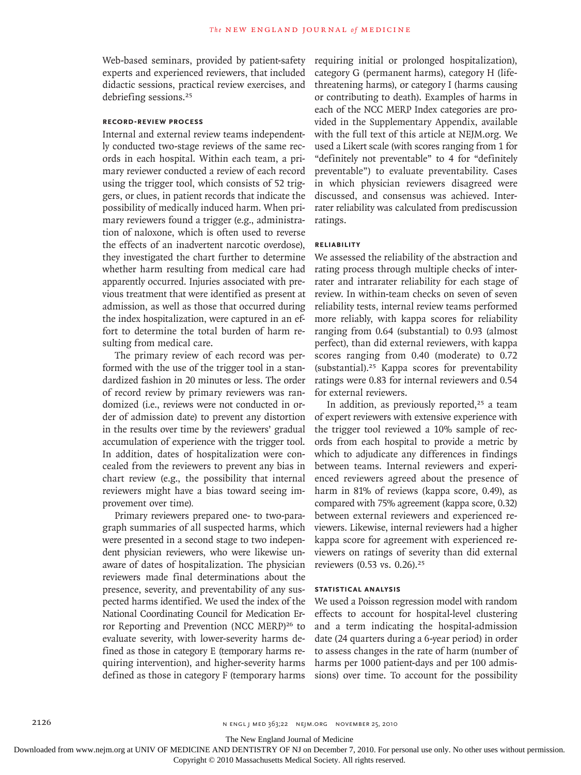Web-based seminars, provided by patient-safety experts and experienced reviewers, that included didactic sessions, practical review exercises, and debriefing sessions.<sup>25</sup>

## **Record-Review Process**

Internal and external review teams independently conducted two-stage reviews of the same records in each hospital. Within each team, a primary reviewer conducted a review of each record using the trigger tool, which consists of 52 triggers, or clues, in patient records that indicate the possibility of medically induced harm. When primary reviewers found a trigger (e.g., administration of naloxone, which is often used to reverse the effects of an inadvertent narcotic overdose), they investigated the chart further to determine whether harm resulting from medical care had apparently occurred. Injuries associated with previous treatment that were identified as present at admission, as well as those that occurred during the index hospitalization, were captured in an effort to determine the total burden of harm resulting from medical care.

The primary review of each record was performed with the use of the trigger tool in a standardized fashion in 20 minutes or less. The order of record review by primary reviewers was randomized (i.e., reviews were not conducted in order of admission date) to prevent any distortion in the results over time by the reviewers' gradual accumulation of experience with the trigger tool. In addition, dates of hospitalization were concealed from the reviewers to prevent any bias in chart review (e.g., the possibility that internal reviewers might have a bias toward seeing improvement over time).

Primary reviewers prepared one- to two-paragraph summaries of all suspected harms, which were presented in a second stage to two independent physician reviewers, who were likewise unaware of dates of hospitalization. The physician reviewers made final determinations about the presence, severity, and preventability of any suspected harms identified. We used the index of the National Coordinating Council for Medication Error Reporting and Prevention (NCC MERP)26 to evaluate severity, with lower-severity harms defined as those in category E (temporary harms requiring intervention), and higher-severity harms defined as those in category F (temporary harms requiring initial or prolonged hospitalization), category G (permanent harms), category H (lifethreatening harms), or category I (harms causing or contributing to death). Examples of harms in each of the NCC MERP Index categories are provided in the Supplementary Appendix, available with the full text of this article at NEJM.org. We used a Likert scale (with scores ranging from 1 for "definitely not preventable" to 4 for "definitely preventable") to evaluate preventability. Cases in which physician reviewers disagreed were discussed, and consensus was achieved. Interrater reliability was calculated from prediscussion ratings.

## **Reliability**

We assessed the reliability of the abstraction and rating process through multiple checks of interrater and intrarater reliability for each stage of review. In within-team checks on seven of seven reliability tests, internal review teams performed more reliably, with kappa scores for reliability ranging from 0.64 (substantial) to 0.93 (almost perfect), than did external reviewers, with kappa scores ranging from 0.40 (moderate) to 0.72 (substantial).25 Kappa scores for preventability ratings were 0.83 for internal reviewers and 0.54 for external reviewers.

In addition, as previously reported,<sup>25</sup> a team of expert reviewers with extensive experience with the trigger tool reviewed a 10% sample of records from each hospital to provide a metric by which to adjudicate any differences in findings between teams. Internal reviewers and experienced reviewers agreed about the presence of harm in 81% of reviews (kappa score, 0.49), as compared with 75% agreement (kappa score, 0.32) between external reviewers and experienced reviewers. Likewise, internal reviewers had a higher kappa score for agreement with experienced reviewers on ratings of severity than did external reviewers (0.53 vs. 0.26).<sup>25</sup>

#### **Statistical Analysis**

We used a Poisson regression model with random effects to account for hospital-level clustering and a term indicating the hospital-admission date (24 quarters during a 6-year period) in order to assess changes in the rate of harm (number of harms per 1000 patient-days and per 100 admissions) over time. To account for the possibility

The New England Journal of Medicine

Downloaded from www.nejm.org at UNIV OF MEDICINE AND DENTISTRY OF NJ on December 7, 2010. For personal use only. No other uses without permission.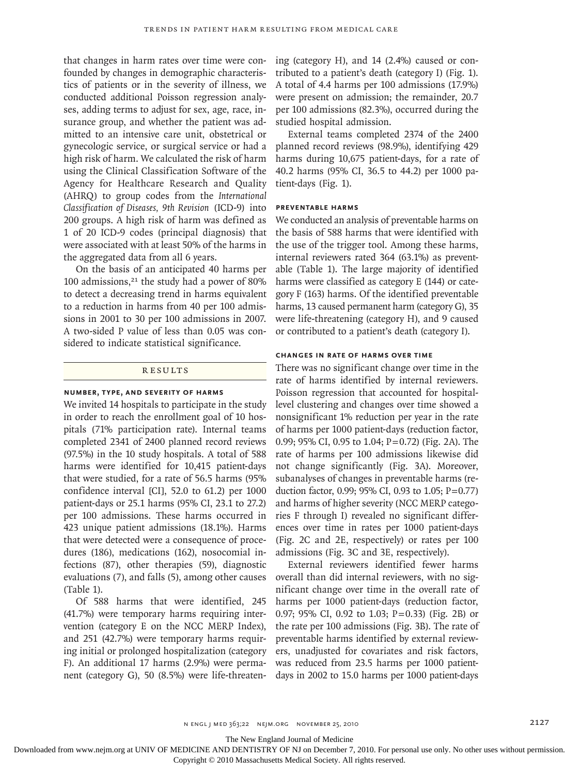that changes in harm rates over time were confounded by changes in demographic characteristics of patients or in the severity of illness, we conducted additional Poisson regression analyses, adding terms to adjust for sex, age, race, insurance group, and whether the patient was admitted to an intensive care unit, obstetrical or gynecologic service, or surgical service or had a high risk of harm. We calculated the risk of harm using the Clinical Classification Software of the Agency for Healthcare Research and Quality (AHRQ) to group codes from the *International Classification of Diseases, 9th Revision* (ICD-9) into 200 groups. A high risk of harm was defined as 1 of 20 ICD-9 codes (principal diagnosis) that were associated with at least 50% of the harms in the aggregated data from all 6 years.

On the basis of an anticipated 40 harms per 100 admissions, $21$  the study had a power of 80% to detect a decreasing trend in harms equivalent to a reduction in harms from 40 per 100 admissions in 2001 to 30 per 100 admissions in 2007. A two-sided P value of less than 0.05 was considered to indicate statistical significance.

# **RESULTS**

## **Number, Type, and Severity of Harms**

We invited 14 hospitals to participate in the study in order to reach the enrollment goal of 10 hospitals (71% participation rate). Internal teams completed 2341 of 2400 planned record reviews (97.5%) in the 10 study hospitals. A total of 588 harms were identified for 10,415 patient-days that were studied, for a rate of 56.5 harms (95% confidence interval [CI], 52.0 to 61.2) per 1000 patient-days or 25.1 harms (95% CI, 23.1 to 27.2) per 100 admissions. These harms occurred in 423 unique patient admissions (18.1%). Harms that were detected were a consequence of procedures (186), medications (162), nosocomial infections (87), other therapies (59), diagnostic evaluations (7), and falls (5), among other causes (Table 1).

Of 588 harms that were identified, 245 (41.7%) were temporary harms requiring intervention (category E on the NCC MERP Index), and 251 (42.7%) were temporary harms requiring initial or prolonged hospitalization (category F). An additional 17 harms (2.9%) were permanent (category G), 50 (8.5%) were life-threatening (category H), and 14 (2.4%) caused or contributed to a patient's death (category I) (Fig. 1). A total of 4.4 harms per 100 admissions (17.9%) were present on admission; the remainder, 20.7 per 100 admissions (82.3%), occurred during the studied hospital admission.

External teams completed 2374 of the 2400 planned record reviews (98.9%), identifying 429 harms during 10,675 patient-days, for a rate of 40.2 harms (95% CI, 36.5 to 44.2) per 1000 patient-days (Fig. 1).

## **Preventable Harms**

We conducted an analysis of preventable harms on the basis of 588 harms that were identified with the use of the trigger tool. Among these harms, internal reviewers rated 364 (63.1%) as preventable (Table 1). The large majority of identified harms were classified as category E (144) or category F (163) harms. Of the identified preventable harms, 13 caused permanent harm (category G), 35 were life-threatening (category H), and 9 caused or contributed to a patient's death (category I).

## **Changes in Rate of Harms over Time**

There was no significant change over time in the rate of harms identified by internal reviewers. Poisson regression that accounted for hospitallevel clustering and changes over time showed a nonsignificant 1% reduction per year in the rate of harms per 1000 patient-days (reduction factor, 0.99; 95% CI, 0.95 to 1.04; P=0.72) (Fig. 2A). The rate of harms per 100 admissions likewise did not change significantly (Fig. 3A). Moreover, subanalyses of changes in preventable harms (reduction factor, 0.99; 95% CI, 0.93 to 1.05; P=0.77) and harms of higher severity (NCC MERP categories F through I) revealed no significant differences over time in rates per 1000 patient-days (Fig. 2C and 2E, respectively) or rates per 100 admissions (Fig. 3C and 3E, respectively).

External reviewers identified fewer harms overall than did internal reviewers, with no significant change over time in the overall rate of harms per 1000 patient-days (reduction factor, 0.97; 95% CI, 0.92 to 1.03; P=0.33) (Fig. 2B) or the rate per 100 admissions (Fig. 3B). The rate of preventable harms identified by external reviewers, unadjusted for covariates and risk factors, was reduced from 23.5 harms per 1000 patientdays in 2002 to 15.0 harms per 1000 patient-days

The New England Journal of Medicine

Downloaded from www.nejm.org at UNIV OF MEDICINE AND DENTISTRY OF NJ on December 7, 2010. For personal use only. No other uses without permission.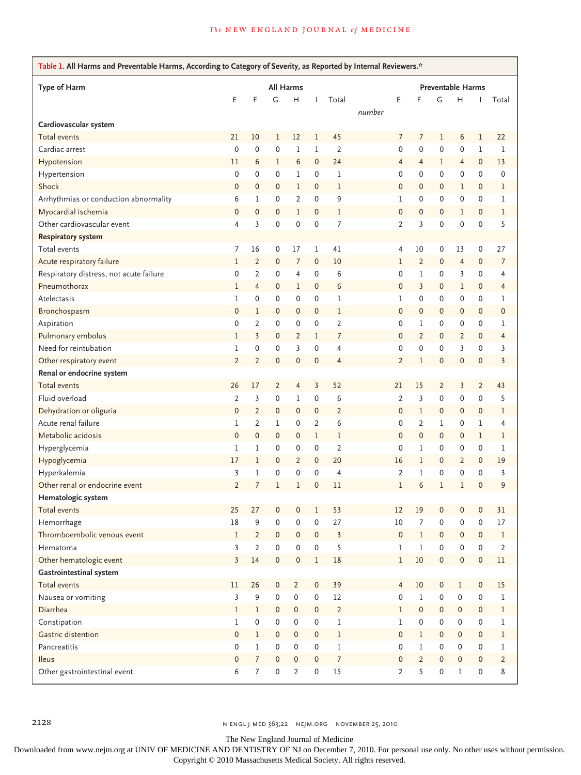## *The* NEW ENGLAND JOURNAL of MEDICINE

| Table 1. All Harms and Preventable Harms, According to Category of Severity, as Reported by Internal Reviewers.* |                |                |                     |                |                     |                          |        |                     |                |              |                     |                     |                |
|------------------------------------------------------------------------------------------------------------------|----------------|----------------|---------------------|----------------|---------------------|--------------------------|--------|---------------------|----------------|--------------|---------------------|---------------------|----------------|
| Type of Harm                                                                                                     | All Harms      |                |                     |                |                     | <b>Preventable Harms</b> |        |                     |                |              |                     |                     |                |
|                                                                                                                  | E              | F              | G                   | H              | Т                   | Total                    |        | E                   | F              | G            | н                   | $\mathbf{I}$        | Total          |
| Cardiovascular system                                                                                            |                |                |                     |                |                     |                          | number |                     |                |              |                     |                     |                |
| Total events                                                                                                     | 21             | 10             | 1                   | 12             | 1                   | 45                       |        | 7                   | 7              | 1            | 6                   | 1                   | 22             |
| Cardiac arrest                                                                                                   | $\mathbf 0$    | 0              | $\mathbf 0$         | $\mathbf 1$    | $\mathbf 1$         | $\overline{2}$           |        | $\mathbf 0$         | $\mathbf 0$    | 0            | 0                   | 1                   | 1              |
| Hypotension                                                                                                      | 11             | 6              | 1                   | 6              | $\mathbf 0$         | 24                       |        | $\overline{4}$      | $\overline{4}$ | 1            | $\overline{4}$      | $\mathbf{0}$        | 13             |
| Hypertension                                                                                                     | 0              | 0              | $\mathbf 0$         | 1              | $\mathbf 0$         | 1                        |        | $\mathbf 0$         | $\mathbf 0$    | 0            | 0                   | 0                   | 0              |
| Shock                                                                                                            | $\mathbf 0$    | 0              | $\mathbf 0$         | 1              | $\mathbf{0}$        | $\mathbf 1$              |        | $\mathbf 0$         | $\mathbf 0$    | $\mathbf{0}$ | 1                   | $\mathbf{0}$        | 1              |
| Arrhythmias or conduction abnormality                                                                            | 6              | 1              | $\mathbf 0$         | $\overline{2}$ | $\mathbf 0$         | 9                        |        | $\!1$               | 0              | 0            | 0                   | 0                   | 1              |
| Myocardial ischemia                                                                                              | $\mathbf 0$    | 0              | $\mathbf 0$         | 1              | $\mathbf 0$         | 1                        |        | $\mathbf 0$         | 0              | 0            | 1                   | $\mathbf 0$         | 1              |
| Other cardiovascular event                                                                                       | $\overline{4}$ | 3              | $\mathbf 0$         | $\mathbf 0$    | $\mathbf 0$         | 7                        |        | $\overline{2}$      | 3              | 0            | 0                   | 0                   | 5              |
| <b>Respiratory system</b>                                                                                        |                |                |                     |                |                     |                          |        |                     |                |              |                     |                     |                |
| Total events                                                                                                     | 7              | 16             | 0                   | 17             | 1                   | 41                       |        | 4                   | 10             | 0            | 13                  | 0                   | 27             |
| Acute respiratory failure                                                                                        | 1              | $\overline{2}$ | $\mathbf 0$         | 7              | $\mathbf 0$         | 10                       |        | $\mathbf 1$         | $\overline{2}$ | 0            | 4                   | 0                   | 7              |
| Respiratory distress, not acute failure                                                                          | 0              | $\overline{2}$ | $\mathbf 0$         | $\overline{4}$ | $\mathbf 0$         | 6                        |        | $\mathbf 0$         | 1              | 0            | 3                   | 0                   | 4              |
| Pneumothorax                                                                                                     | 1              | $\overline{4}$ | $\mathbf 0$         | 1              | $\mathbf 0$         | 6                        |        | $\mathbf 0$         | 3              | 0            | 1                   | 0                   | 4              |
| Atelectasis                                                                                                      | 1              | 0              | $\mathbf 0$         | 0              | $\mathbf 0$         | 1                        |        | $\mathbf{1}$        | 0              | 0            | 0                   | 0                   | 1              |
| Bronchospasm                                                                                                     | $\mathbf 0$    | 1              | $\mathbf 0$         | 0              | $\mathbf 0$         | 1                        |        | $\mathbf 0$         | $\mathbf 0$    | 0            | 0                   | $\mathbf{0}$        | $\mathbf 0$    |
| Aspiration                                                                                                       | 0              | $\overline{2}$ | $\mathbf 0$         | 0              | $\mathbf 0$         | $\overline{2}$           |        | $\mathbf 0$         | 1              | 0            | 0                   | 0                   | 1              |
| Pulmonary embolus                                                                                                | 1              | 3              | $\mathbf 0$         | $\overline{2}$ | 1                   | 7                        |        | $\mathbf 0$         | $\overline{2}$ | 0            | $\overline{2}$      | $\mathbf{0}$        | 4              |
| Need for reintubation                                                                                            | 1              | 0              | $\mathbf 0$         | 3              | $\mathbf 0$         | 4                        |        | $\mathbf 0$         | $\mathbf 0$    | 0            | 3                   | 0                   | 3              |
| Other respiratory event                                                                                          | $\overline{2}$ | $\overline{2}$ | $\mathbf 0$         | $\mathbf 0$    | $\mathbf 0$         | 4                        |        | $\overline{2}$      | 1              | 0            | $\mathbf 0$         | 0                   | 3              |
| Renal or endocrine system                                                                                        |                |                |                     |                |                     |                          |        |                     |                |              |                     |                     |                |
| <b>Total events</b>                                                                                              | 26             | 17             | $\overline{2}$      | $\overline{4}$ | 3                   | 52                       |        | 21                  | 15             | 2            | 3                   | 2                   | 43             |
| Fluid overload                                                                                                   | $\overline{2}$ | 3              | $\mathbf 0$         | 1              | $\mathbf 0$         | 6                        |        | $\overline{2}$      | 3              | 0            | 0                   | 0                   | 5              |
| Dehydration or oliguria                                                                                          | 0              | $\overline{2}$ | $\mathbf 0$         | 0              | $\mathbf 0$         | 2                        |        | $\mathbf 0$         | 1              | 0            | 0                   | 0                   | 1              |
| Acute renal failure                                                                                              | 1              | $\overline{2}$ | $\mathbf{1}$        | $\mathbf 0$    | $\overline{2}$      | 6                        |        | $\mathbf 0$         | $\overline{2}$ | 1            | 0                   | 1                   | 4              |
| Metabolic acidosis                                                                                               | $\mathbf 0$    | 0              | $\mathbf 0$         | 0              | $\mathbf 1$         | 1                        |        | $\mathbf{0}$        | $\mathbf 0$    | 0            | 0                   | 1                   | 1              |
| Hyperglycemia                                                                                                    | 1              | 1              | $\mathbf 0$         | 0              | $\mathbf 0$         | $\overline{2}$           |        | $\mathbf 0$         | 1              | 0            | 0                   | 0                   | 1              |
| Hypoglycemia                                                                                                     | 17             | $\mathbf{1}$   | $\mathbf{0}$        | $\overline{2}$ | $\mathbf 0$         | 20                       |        | 16                  | 1              | 0            | $\overline{2}$      | $\mathbf{0}$        | 19             |
| Hyperkalemia                                                                                                     | 3              | 1              | $\mathbf 0$         | 0              | $\mathbf 0$         | $\overline{4}$           |        | $\overline{2}$      | 1              | 0            | 0                   | 0                   | 3              |
| Other renal or endocrine event                                                                                   | $\overline{2}$ | 7              | $1\,$               | 1              | $\mathbf 0$         | 11                       |        | $\mathbf{1}$        | 6              | 1            | 1                   | 0                   | 9              |
| Hematologic system                                                                                               |                |                |                     |                |                     |                          |        |                     |                |              |                     |                     |                |
| Total events                                                                                                     | 25             | 27             | 0                   | $\mathbf 0$    | 1                   | 53                       |        | 12                  | 19             | 0            | 0                   | 0                   | 31             |
| Hemorrhage                                                                                                       | $18\,$         | 9              | $\pmb{0}$           | 0              | $\mathsf{O}\xspace$ | 27                       |        | $10\,$              | 7              | 0            | 0                   | 0                   | $17\,$         |
| Thromboembolic venous event                                                                                      | $\mathbf{1}$   | $\overline{2}$ | $\mathbf{0}$        | $\mathbf 0$    | $\mathbf{0}$        | 3                        |        | $\mathsf{O}\xspace$ | 1              | $\mathbf{0}$ | 0                   | $\mathbf{0}$        | $\,1$          |
| Hematoma                                                                                                         | $\overline{3}$ | $\overline{2}$ | $\mathsf{O}\xspace$ | 0              | $\mathsf{O}\xspace$ | 5                        |        | $\mathbf{1}$        | 1              | 0            | 0                   | 0                   | $\overline{2}$ |
| Other hematologic event                                                                                          | $\overline{3}$ | 14             | $\mathbf 0$         | 0              | $\mathbf 1$         | $18\,$                   |        | $\mathbf 1$         | 10             | 0            | $\mathsf{O}\xspace$ | $\mathsf{O}\xspace$ | $11\,$         |
| Gastrointestinal system                                                                                          |                |                |                     |                |                     |                          |        |                     |                |              |                     |                     |                |
| Total events                                                                                                     | 11             | 26             | $\mathbf 0$         | $\overline{2}$ | $\pmb{0}$           | 39                       |        | $\overline{4}$      | 10             | 0            | l                   | 0                   | 15             |
| Nausea or vomiting                                                                                               | 3              | 9              | $\mathsf{O}\xspace$ | 0              | $\pmb{0}$           | $12\,$                   |        | $\mathsf{O}\xspace$ | 1              | 0            | 0                   | 0                   | 1              |
| Diarrhea                                                                                                         | $\mathbf{1}$   | $\mathbf{1}$   | $\mathbf 0$         | $\pmb{0}$      | $\mathbf 0$         | $\overline{2}$           |        | $\mathbf{1}$        | $\pmb{0}$      | 0            | $\mathsf{O}\xspace$ | $\mathbf 0$         | $\mathbf 1$    |
| Constipation                                                                                                     | $\mathbf{1}$   | 0              | $\pmb{0}$           | 0              | $\mathbf 0$         | 1                        |        | $\mathbf 1$         | $\pmb{0}$      | 0            | 0                   | 0                   | 1              |
| Gastric distention                                                                                               | 0              | $\mathbf 1$    | $\mathbf 0$         | $\pmb{0}$      | $\mathbf 0$         | $\,1$                    |        | $\mathsf{O}\xspace$ | 1              | 0            | 0                   | $\mathbf 0$         | l              |
| Pancreatitis                                                                                                     | 0              | ı              | $\mathbf 0$         | 0              | $\mathbf 0$         | $1\,$                    |        | $\mathsf{O}\xspace$ | 1              | 0            | 0                   | 0                   | 1              |
| Ileus                                                                                                            | 0              | $\overline{7}$ | $\mathbf 0$         | $\pmb{0}$      | $\mathbf 0$         | $\boldsymbol{7}$         |        | $\mathsf{O}\xspace$ | $\overline{2}$ | 0            | 0                   | 0                   | $\overline{2}$ |
| Other gastrointestinal event                                                                                     | 6              | $\overline{7}$ | $\mathbf 0$         | $\overline{2}$ | $\mathbf 0$         | 15                       |        | $\overline{2}$      | 5              | 0            | 1                   | 0                   | 8              |
|                                                                                                                  |                |                |                     |                |                     |                          |        |                     |                |              |                     |                     |                |

The New England Journal of Medicine

Downloaded from www.nejm.org at UNIV OF MEDICINE AND DENTISTRY OF NJ on December 7, 2010. For personal use only. No other uses without permission.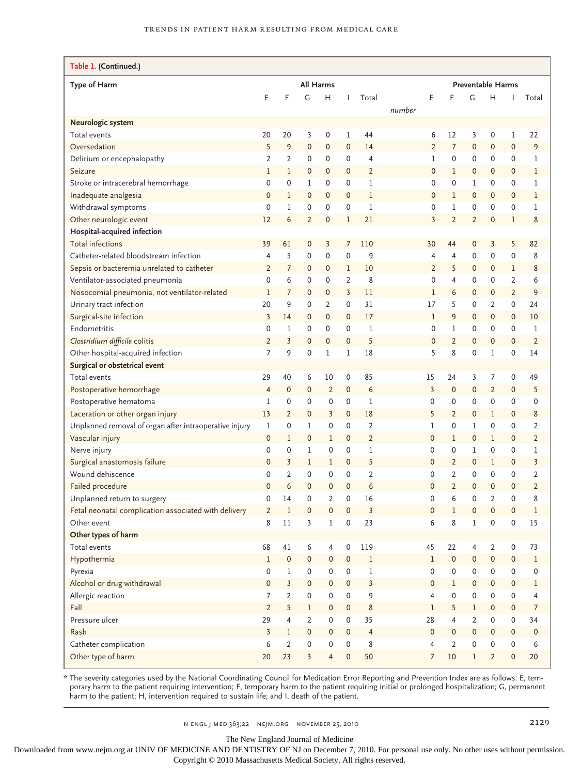| Table 1. (Continued.)                                  |                |                     |                |                |              |                |        |                     |                |                |                     |                          |                  |  |
|--------------------------------------------------------|----------------|---------------------|----------------|----------------|--------------|----------------|--------|---------------------|----------------|----------------|---------------------|--------------------------|------------------|--|
| Type of Harm                                           |                | <b>All Harms</b>    |                |                |              |                |        |                     |                |                |                     | <b>Preventable Harms</b> |                  |  |
|                                                        | E              | F                   | G              | H              | $\mathbf{I}$ | Total          |        | E                   | F              | G              | H                   |                          | Total            |  |
|                                                        |                |                     |                |                |              |                | number |                     |                |                |                     |                          |                  |  |
| Neurologic system                                      |                |                     |                |                |              |                |        |                     |                |                |                     |                          |                  |  |
| Total events                                           | 20             | 20                  | 3              | 0              | 1            | 44             |        | 6                   | 12             | 3              | 0                   | 1                        | 22               |  |
| Oversedation                                           | 5              | 9                   | $\mathbf 0$    | $\mathbf 0$    | $\mathbf 0$  | 14             |        | $\overline{2}$      | $\overline{7}$ | $\mathbf 0$    | 0                   | $\mathbf 0$              | 9                |  |
| Delirium or encephalopathy                             | 2              | $\overline{2}$      | 0              | 0              | 0            | 4              |        | 1                   | 0              | $\mathbf 0$    | 0                   | 0                        | 1                |  |
| Seizure                                                | $\mathbf 1$    | $\mathbf{1}$        | 0              | $\mathbf{0}$   | 0            | $\overline{2}$ |        | $\mathbf 0$         | 1              | 0              | $\mathbf{0}$        | 0                        | $\mathbf{1}$     |  |
| Stroke or intracerebral hemorrhage                     | 0              | 0                   | 1              | 0              | 0            | 1              |        | 0                   | 0              | 1              | 0                   | 0                        | 1                |  |
| Inadequate analgesia                                   | $\mathbf 0$    | 1                   | $\mathbf 0$    | $\mathbf{0}$   | $\mathbf 0$  | 1              |        | $\mathbf 0$         | 1              | 0              | 0                   | 0                        | $\mathbf 1$      |  |
| Withdrawal symptoms                                    | $\mathbf 0$    | 1                   | 0              | 0              | 0            | 1              |        | 0                   | 1              | $\mathbf 0$    | 0                   | 0                        | 1                |  |
| Other neurologic event                                 | 12             | 6                   | 2              | $\mathbf 0$    | 1            | 21             |        | 3                   | $\overline{2}$ | $\overline{2}$ | 0                   | 1                        | 8                |  |
| Hospital-acquired infection                            |                |                     |                |                |              |                |        |                     |                |                |                     |                          |                  |  |
| Total infections                                       | 39             | 61                  | 0              | 3              | 7            | 110            |        | 30                  | 44             | 0              | 3                   | 5                        | 82               |  |
| Catheter-related bloodstream infection                 | 4              | 5                   | 0              | $\mathsf 0$    | $\mathbf 0$  | 9              |        | $\overline{4}$      | 4              | $\mathbf 0$    | 0                   | $\mathbf 0$              | 8                |  |
| Sepsis or bacteremia unrelated to catheter             | $\overline{2}$ | $\overline{7}$      | 0              | $\mathbf 0$    | 1            | 10             |        | $\overline{2}$      | 5              | 0              | $\mathbf{0}$        | 1                        | 8                |  |
| Ventilator-associated pneumonia                        | $\mathbf 0$    | 6                   | 0              | 0              | 2            | 8              |        | 0                   | 4              | 0              | 0                   | 2                        | 6                |  |
| Nosocomial pneumonia, not ventilator-related           | $\mathbf{1}$   | $\overline{7}$      | 0              | 0              | 3            | 11             |        | 1                   | 6              | 0              | $\mathbf{0}$        | $\overline{2}$           | 9                |  |
| Urinary tract infection                                | 20             | 9                   | 0              | $\overline{2}$ | $\mathbf 0$  | 31             |        | 17                  | 5              | 0              | 2                   | 0                        | 24               |  |
| Surgical-site infection                                | 3              | 14                  | 0              | $\mathbf 0$    | $\mathbf 0$  | 17             |        | $\mathbf{1}$        | 9              | $\mathbf{0}$   | 0                   | $\mathbf{0}$             | 10               |  |
| Endometritis                                           | $\mathbf 0$    | $\mathbf 1$         | $\mathbf 0$    | $\mathbf 0$    | $\mathbf 0$  | 1              |        | 0                   | 1              | 0              | 0                   | 0                        | 1                |  |
| Clostridium difficile colitis                          | $\overline{2}$ | 3                   | $\mathbf 0$    | $\mathbf 0$    | $\mathbf 0$  | 5              |        | $\mathbf 0$         | $\overline{2}$ | 0              | 0                   | $\Omega$                 | $\overline{2}$   |  |
| Other hospital-acquired infection                      | 7              | 9                   | 0              | $\mathbf 1$    | 1            | 18             |        | 5                   | 8              | 0              | 1                   | 0                        | 14               |  |
| Surgical or obstetrical event                          |                |                     |                |                |              |                |        |                     |                |                |                     |                          |                  |  |
| Total events                                           | 29             | 40                  | 6              | 10             | 0            | 85             |        | 15                  | 24             | 3              | 7                   | 0                        | 49               |  |
| Postoperative hemorrhage                               | $\overline{4}$ | $\mathbf 0$         | $\mathbf 0$    | $\overline{2}$ | $\mathsf 0$  | 6              |        | $\overline{3}$      | 0              | 0              | $\overline{2}$      | $\mathbf 0$              | 5                |  |
| Postoperative hematoma                                 | 1              | 0                   | 0              | 0              | $\mathbf 0$  | 1              |        | $\mathbf 0$         | 0              | 0              | 0                   | 0                        | 0                |  |
| Laceration or other organ injury                       | 13             | $\overline{2}$      | $\mathbf 0$    | 3              | $\mathbf 0$  | 18             |        | 5                   | $\overline{2}$ | 0              | 1                   | $\mathbf 0$              | 8                |  |
| Unplanned removal of organ after intraoperative injury | 1              | 0                   | 1              | 0              | $\mathbf 0$  | 2              |        | 1                   | 0              | 1              | 0                   | 0                        | $\overline{2}$   |  |
| Vascular injury                                        | $\mathbf 0$    | $\mathbf 1$         | $\mathbf 0$    | 1              | $\mathbf 0$  | $\overline{2}$ |        | $\mathbf{0}$        | ı              | 0              | 1                   | 0                        | $\overline{2}$   |  |
| Nerve injury                                           | $\mathbf 0$    | 0                   | 1              | 0              | 0            | 1              |        | $\mathbf 0$         | 0              | 1              | 0                   | 0                        | 1                |  |
| Surgical anastomosis failure                           | $\Omega$       | 3                   | 1              | 1              | $\mathsf 0$  | 5              |        | $\mathbf{0}$        | $\overline{2}$ | 0              | 1                   | $\mathbf{0}$             | 3                |  |
| Wound dehiscence                                       | $\mathbf 0$    | $\overline{2}$      | 0              | 0              | 0            | $\overline{2}$ |        | $\mathbf 0$         | 2              | 0              | 0                   | 0                        | $\overline{2}$   |  |
| Failed procedure                                       | $\Omega$       | 6                   | $\mathbf 0$    | 0              | $\mathsf 0$  | 6              |        | $\mathbf{0}$        | $\overline{2}$ | 0              | 0                   | $\mathbf{0}$             | $\overline{2}$   |  |
| Unplanned return to surgery                            | $\mathbf 0$    | 14                  | 0              | 2              | 0            | 16             |        | 0                   | 6              | 0              | 2                   | 0                        | 8                |  |
| Fetal neonatal complication associated with delivery   | $\overline{2}$ | $\mathbf 1$         | $\mathbf 0$    | 0              | $\mathbf 0$  | 3              |        | $\mathbf 0$         | 1              | 0              | 0                   | 0                        | $\mathbf{1}$     |  |
| Other event                                            | 8              | $11\,$              | 3              | l              | $\mathbf 0$  | 23             |        | 6                   | 8              | $\mathbf{l}$   | 0                   | 0                        | $15\,$           |  |
| Other types of harm                                    |                |                     |                |                |              |                |        |                     |                |                |                     |                          |                  |  |
| Total events                                           | 68             | 41                  | 6              | 4              | $\mathbf 0$  | 119            |        | 45                  | 22             | 4              | $\overline{2}$      | 0                        | 73               |  |
| Hypothermia                                            | $\mathbf{1}$   | $\mathsf{O}\xspace$ | $\pmb{0}$      | 0              | $\pmb{0}$    | $\mathbf 1$    |        | $\mathbf{1}$        | 0              | $\mathbf 0$    | $\mathsf{O}\xspace$ | $\mathbf 0$              | $\mathbf 1$      |  |
| Pyrexia                                                | 0              | 1                   | 0              | 0              | $\mathbf 0$  | $\mathbf 1$    |        | 0                   | 0              | 0              | 0                   | 0                        | 0                |  |
| Alcohol or drug withdrawal                             | $\mathbf 0$    | $\overline{3}$      | 0              | 0              | $\mathbf 0$  | $\overline{3}$ |        | $\mathsf{O}\xspace$ | $\mathbf{1}$   | 0              | 0                   | 0                        | $\mathbf 1$      |  |
| Allergic reaction                                      | 7              | $\overline{2}$      | 0              | 0              | $\mathbf 0$  | 9              |        | $\overline{4}$      | 0              | 0              | 0                   | 0                        | 4                |  |
| Fall                                                   | $\mathbf 2$    | 5                   | 1              | 0              | $\pmb{0}$    | 8              |        | $\!1$               | 5              | $\mathbf{1}$   | 0                   | 0                        | $\boldsymbol{7}$ |  |
| Pressure ulcer                                         | 29             | 4                   | $\overline{2}$ | 0              | $\mathbf 0$  | 35             |        | 28                  | 4              | $\overline{2}$ | 0                   | $\mathbf 0$              | 34               |  |
| Rash                                                   | $\overline{3}$ | 1                   | $\pmb{0}$      | 0              | $\mathbf 0$  | $\overline{4}$ |        | $\mathsf{O}\xspace$ | 0              | $\mathbf 0$    | 0                   | $\mathbf 0$              | $\pmb{0}$        |  |
| Catheter complication                                  | 6              | $\overline{2}$      | $\pmb{0}$      | 0              | $\mathbf 0$  | 8              |        | $\overline{4}$      | $\overline{2}$ | 0              | 0                   | $\mathbf 0$              | 6                |  |
| Other type of harm                                     | 20             | 23                  | $\overline{3}$ | $\overline{4}$ | $\pmb{0}$    | 50             |        | $\overline{7}$      | $10\,$         | $\mathbf{1}$   | $\overline{2}$      | $\mathbf 0$              | 20               |  |
|                                                        |                |                     |                |                |              |                |        |                     |                |                |                     |                          |                  |  |

\* The severity categories used by the National Coordinating Council for Medication Error Reporting and Prevention Index are as follows: E, temporary harm to the patient requiring intervention; F, temporary harm to the patient requiring initial or prolonged hospitalization; G, permanent harm to the patient; H, intervention required to sustain life; and I, death of the patient.

The New England Journal of Medicine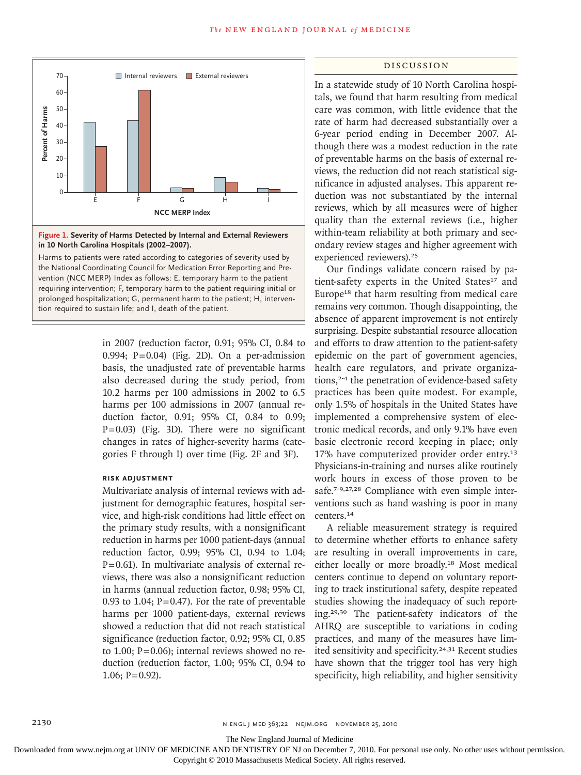

**Figure 1. Severity of Harms Detected by Internal and External Reviewers in 10 North Carolina Hospitals (2002–2007).**

Harms to patients were rated according to categories of severity used by the National Coordinating Council for Medication Error Reporting and Prevention (NCC MERP) Index as follows: E, temporary harm to the patient requiring intervention; F, temporary harm to the patient requiring initial or prolonged hospitalization; G, permanent harm to the patient; H, intervention required to sustain life; and I, death of the patient.

> in 2007 (reduction factor, 0.91; 95% CI, 0.84 to 0.994;  $P=0.04$ ) (Fig. 2D). On a per-admission basis, the unadjusted rate of preventable harms also decreased during the study period, from 10.2 harms per 100 admissions in 2002 to 6.5 harms per 100 admissions in 2007 (annual reduction factor, 0.91; 95% CI, 0.84 to 0.99; P=0.03) (Fig. 3D). There were no significant changes in rates of higher-severity harms (categories F through I) over time (Fig. 2F and 3F).

## **Risk Adjustment**

Multivariate analysis of internal reviews with adjustment for demographic features, hospital service, and high-risk conditions had little effect on the primary study results, with a nonsignificant reduction in harms per 1000 patient-days (annual reduction factor, 0.99; 95% CI, 0.94 to 1.04; P=0.61). In multivariate analysis of external reviews, there was also a nonsignificant reduction in harms (annual reduction factor, 0.98; 95% CI, 0.93 to 1.04;  $P = 0.47$ ). For the rate of preventable harms per 1000 patient-days, external reviews showed a reduction that did not reach statistical significance (reduction factor, 0.92; 95% CI, 0.85 to 1.00;  $P=0.06$ ); internal reviews showed no reduction (reduction factor, 1.00; 95% CI, 0.94 to  $1.06$ ; P=0.92).

#### Discussion

In a statewide study of 10 North Carolina hospitals, we found that harm resulting from medical care was common, with little evidence that the rate of harm had decreased substantially over a 6-year period ending in December 2007. Although there was a modest reduction in the rate of preventable harms on the basis of external reviews, the reduction did not reach statistical significance in adjusted analyses. This apparent reduction was not substantiated by the internal reviews, which by all measures were of higher quality than the external reviews (i.e., higher within-team reliability at both primary and secondary review stages and higher agreement with experienced reviewers).<sup>25</sup>

Our findings validate concern raised by patient-safety experts in the United States<sup>17</sup> and Europe18 that harm resulting from medical care remains very common. Though disappointing, the absence of apparent improvement is not entirely surprising. Despite substantial resource allocation and efforts to draw attention to the patient-safety epidemic on the part of government agencies, health care regulators, and private organizations,<sup>2-4</sup> the penetration of evidence-based safety practices has been quite modest. For example, only 1.5% of hospitals in the United States have implemented a comprehensive system of electronic medical records, and only 9.1% have even basic electronic record keeping in place; only 17% have computerized provider order entry.<sup>13</sup> Physicians-in-training and nurses alike routinely work hours in excess of those proven to be safe.<sup>7-9,27,28</sup> Compliance with even simple interventions such as hand washing is poor in many centers.<sup>14</sup>

A reliable measurement strategy is required to determine whether efforts to enhance safety are resulting in overall improvements in care, either locally or more broadly.18 Most medical centers continue to depend on voluntary reporting to track institutional safety, despite repeated studies showing the inadequacy of such reporting.29,30 The patient-safety indicators of the AHRQ are susceptible to variations in coding practices, and many of the measures have limited sensitivity and specificity.24,31 Recent studies have shown that the trigger tool has very high specificity, high reliability, and higher sensitivity

The New England Journal of Medicine

Downloaded from www.nejm.org at UNIV OF MEDICINE AND DENTISTRY OF NJ on December 7, 2010. For personal use only. No other uses without permission.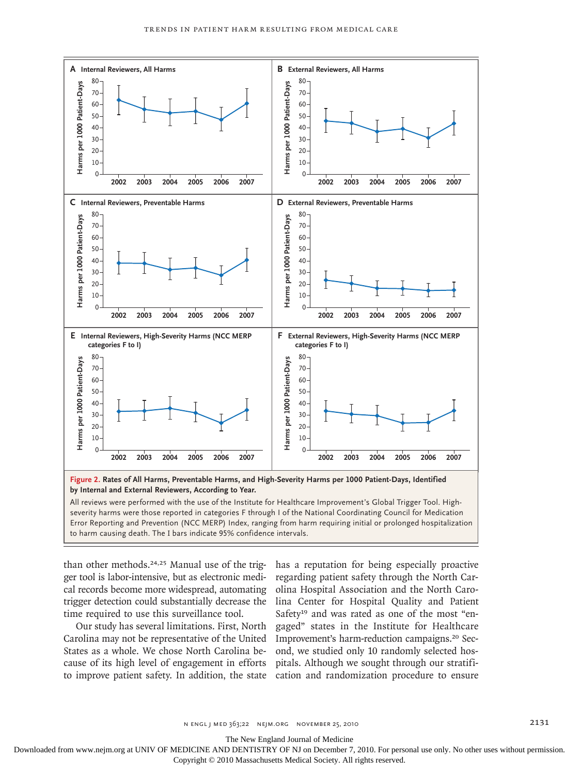

severity harms were those reported in categories F through I of the National Coordinating Council for Medication Error Reporting and Prevention (NCC MERP) Index, ranging from harm requiring initial or prolonged hospitalization to harm causing death. The I bars indicate 95% confidence intervals.

than other methods.<sup>24,25</sup> Manual use of the trigger tool is labor-intensive, but as electronic medical records become more widespread, automating trigger detection could substantially decrease the time required to use this surveillance tool.

Our study has several limitations. First, North Carolina may not be representative of the United States as a whole. We chose North Carolina because of its high level of engagement in efforts to improve patient safety. In addition, the state cation and randomization procedure to ensure

has a reputation for being especially proactive regarding patient safety through the North Carolina Hospital Association and the North Carolina Center for Hospital Quality and Patient Safety<sup>19</sup> and was rated as one of the most "engaged" states in the Institute for Healthcare Improvement's harm-reduction campaigns.20 Second, we studied only 10 randomly selected hospitals. Although we sought through our stratifi-

n engl j med 363;22 nejm.org november 25, 2010 2131

The New England Journal of Medicine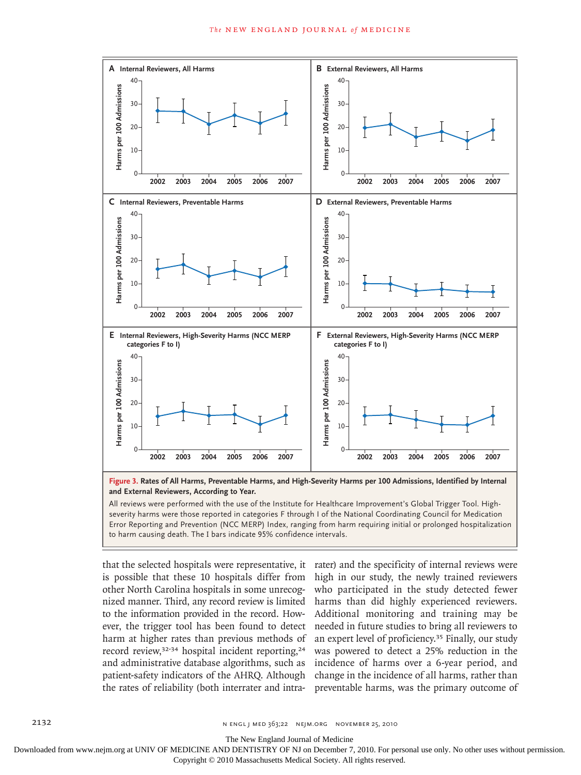

**Figure 3. Rates of All Harms, Preventable Harms, and High-Severity Harms per 100 Admissions, Identified by Internal and External Reviewers, According to Year.**

All reviews were performed with the use of the Institute for Healthcare Improvement's Global Trigger Tool. Highseverity harms were those reported in categories F through I of the National Coordinating Council for Medication Error Reporting and Prevention (NCC MERP) Index, ranging from harm requiring initial or prolonged hospitalization to harm causing death. The I bars indicate 95% confidence intervals.

that the selected hospitals were representative, it is possible that these 10 hospitals differ from other North Carolina hospitals in some unrecognized manner. Third, any record review is limited to the information provided in the record. However, the trigger tool has been found to detect harm at higher rates than previous methods of record review,<sup>32-34</sup> hospital incident reporting,<sup>24</sup> and administrative database algorithms, such as patient-safety indicators of the AHRQ. Although the rates of reliability (both interrater and intra-

rater) and the specificity of internal reviews were high in our study, the newly trained reviewers who participated in the study detected fewer harms than did highly experienced reviewers. Additional monitoring and training may be needed in future studies to bring all reviewers to an expert level of proficiency.35 Finally, our study was powered to detect a 25% reduction in the incidence of harms over a 6-year period, and change in the incidence of all harms, rather than preventable harms, was the primary outcome of

The New England Journal of Medicine

Downloaded from www.nejm.org at UNIV OF MEDICINE AND DENTISTRY OF NJ on December 7, 2010. For personal use only. No other uses without permission.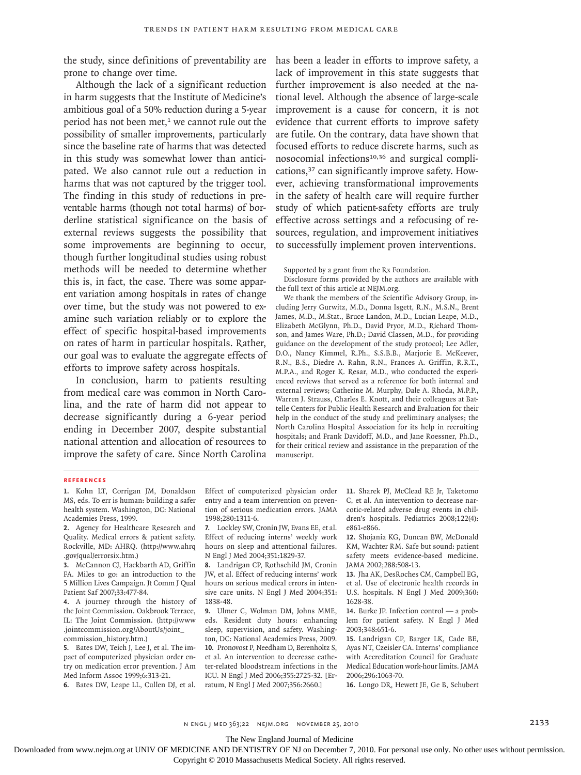the study, since definitions of preventability are has been a leader in efforts to improve safety, a prone to change over time.

Although the lack of a significant reduction in harm suggests that the Institute of Medicine's ambitious goal of a 50% reduction during a 5-year period has not been met,<sup>1</sup> we cannot rule out the possibility of smaller improvements, particularly since the baseline rate of harms that was detected in this study was somewhat lower than anticipated. We also cannot rule out a reduction in harms that was not captured by the trigger tool. The finding in this study of reductions in preventable harms (though not total harms) of borderline statistical significance on the basis of external reviews suggests the possibility that some improvements are beginning to occur, though further longitudinal studies using robust methods will be needed to determine whether this is, in fact, the case. There was some apparent variation among hospitals in rates of change over time, but the study was not powered to examine such variation reliably or to explore the effect of specific hospital-based improvements on rates of harm in particular hospitals. Rather, our goal was to evaluate the aggregate effects of efforts to improve safety across hospitals.

In conclusion, harm to patients resulting from medical care was common in North Carolina, and the rate of harm did not appear to decrease significantly during a 6-year period ending in December 2007, despite substantial national attention and allocation of resources to improve the safety of care. Since North Carolina lack of improvement in this state suggests that further improvement is also needed at the national level. Although the absence of large-scale improvement is a cause for concern, it is not evidence that current efforts to improve safety are futile. On the contrary, data have shown that focused efforts to reduce discrete harms, such as nosocomial infections<sup>10,36</sup> and surgical complications,37 can significantly improve safety. However, achieving transformational improvements in the safety of health care will require further study of which patient-safety efforts are truly effective across settings and a refocusing of resources, regulation, and improvement initiatives to successfully implement proven interventions.

Supported by a grant from the Rx Foundation.

Disclosure forms provided by the authors are available with the full text of this article at NEJM.org.

We thank the members of the Scientific Advisory Group, including Jerry Gurwitz, M.D., Donna Isgett, R.N., M.S.N., Brent James, M.D., M.Stat., Bruce Landon, M.D., Lucian Leape, M.D., Elizabeth McGlynn, Ph.D., David Pryor, M.D., Richard Thomson, and James Ware, Ph.D.; David Classen, M.D., for providing guidance on the development of the study protocol; Lee Adler, D.O., Nancy Kimmel, R.Ph., S.S.B.B., Marjorie E. McKeever, R.N., B.S., Diedre A. Rahn, R.N., Frances A. Griffin, R.R.T., M.P.A., and Roger K. Resar, M.D., who conducted the experienced reviews that served as a reference for both internal and external reviews; Catherine M. Murphy, Dale A. Rhoda, M.P.P., Warren J. Strauss, Charles E. Knott, and their colleagues at Battelle Centers for Public Health Research and Evaluation for their help in the conduct of the study and preliminary analyses; the North Carolina Hospital Association for its help in recruiting hospitals; and Frank Davidoff, M.D., and Jane Roessner, Ph.D., for their critical review and assistance in the preparation of the manuscript.

#### **References**

**2.** Agency for Healthcare Research and Quality. Medical errors & patient safety. Rockville, MD: AHRQ. (http://www.ahrq .gov/qual/errorsix.htm.)

**3.** McCannon CJ, Hackbarth AD, Griffin FA. Miles to go: an introduction to the 5 Million Lives Campaign. Jt Comm J Qual Patient Saf 2007;33:477-84.

**4.** A journey through the history of the Joint Commission. Oakbrook Terrace, IL: The Joint Commission. (http://www .jointcommission.org/AboutUs/joint\_ commission\_history.htm.)

**5.** Bates DW, Teich J, Lee J, et al. The impact of computerized physician order entry on medication error prevention. J Am Med Inform Assoc 1999;6:313-21.

**6.** Bates DW, Leape LL, Cullen DJ, et al.

Effect of computerized physician order entry and a team intervention on prevention of serious medication errors. JAMA 1998;280:1311-6.

**7.** Lockley SW, Cronin JW, Evans EE, et al. Effect of reducing interns' weekly work hours on sleep and attentional failures. N Engl J Med 2004;351:1829-37.

**8.** Landrigan CP, Rothschild JM, Cronin JW, et al. Effect of reducing interns' work hours on serious medical errors in intensive care units. N Engl J Med 2004;351: 1838-48.

**9.** Ulmer C, Wolman DM, Johns MME, eds. Resident duty hours: enhancing sleep, supervision, and safety. Washington, DC: National Academies Press, 2009. **10.** Pronovost P, Needham D, Berenholtz S, et al. An intervention to decrease catheter-related bloodstream infections in the ICU. N Engl J Med 2006;355:2725-32. [Erratum, N Engl J Med 2007;356:2660.]

**11.** Sharek PJ, McClead RE Jr, Taketomo C, et al. An intervention to decrease narcotic-related adverse drug events in children's hospitals. Pediatrics 2008;122(4): e861-e866.

**12.** Shojania KG, Duncan BW, McDonald KM, Wachter RM. Safe but sound: patient safety meets evidence-based medicine. JAMA 2002;288:508-13.

**13.** Jha AK, DesRoches CM, Campbell EG, et al. Use of electronic health records in U.S. hospitals. N Engl J Med 2009;360: 1628-38.

**14.** Burke JP. Infection control — a problem for patient safety. N Engl J Med 2003;348:651-6.

**15.** Landrigan CP, Barger LK, Cade BE, Ayas NT, Czeisler CA. Interns' compliance with Accreditation Council for Graduate Medical Education work-hour limits. JAMA 2006;296:1063-70.

**16.** Longo DR, Hewett JE, Ge B, Schubert

The New England Journal of Medicine

**<sup>1.</sup>** Kohn LT, Corrigan JM, Donaldson MS, eds. To err is human: building a safer health system. Washington, DC: National Academies Press, 1999.